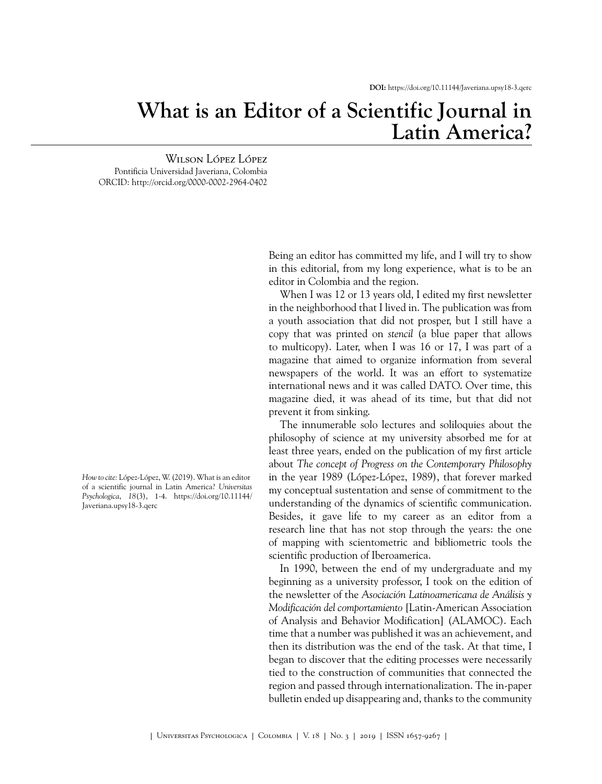## **What is an Editor of a Scientific Journal in Latin America?**

Wilson López López Pontificia Universidad Javeriana, Colombia ORCID:<http://orcid.org/0000-0002-2964-0402>

> Being an editor has committed my life, and I will try to show in this editorial, from my long experience, what is to be an editor in Colombia and the region.

> When I was 12 or 13 years old, I edited my first newsletter in the neighborhood that I lived in. The publication was from a youth association that did not prosper, but I still have a copy that was printed on *stencil* (a blue paper that allows to multicopy). Later, when I was 16 or 17, I was part of a magazine that aimed to organize information from several newspapers of the world. It was an effort to systematize international news and it was called DATO. Over time, this magazine died, it was ahead of its time, but that did not prevent it from sinking.

> The innumerable solo lectures and soliloquies about the philosophy of science at my university absorbed me for at least three years, ended on the publication of my first article about *The concept of Progress on the Contemporary Philosophy* in the year 1989 ([López-López, 1989](#page-2-0)), that forever marked my conceptual sustentation and sense of commitment to the understanding of the dynamics of scientific communication. Besides, it gave life to my career as an editor from a research line that has not stop through the years: the one of mapping with scientometric and bibliometric tools the scientific production of Iberoamerica.

> In 1990, between the end of my undergraduate and my beginning as a university professor, I took on the edition of the newsletter of the *Asociación Latinoamericana de Análisis y Modificación del comportamiento* [Latin-American Association of Analysis and Behavior Modification] (ALAMOC). Each time that a number was published it was an achievement, and then its distribution was the end of the task. At that time, I began to discover that the editing processes were necessarily tied to the construction of communities that connected the region and passed through internationalization. The in-paper bulletin ended up disappearing and, thanks to the community

*How to cite:* López-López, W. (2019). What is an editor of a scientific journal in Latin America? *Universitas Psychologica*, *18*(3), 1-4. https://doi.org/10.11144/ Javeriana.upsy18-3.qerc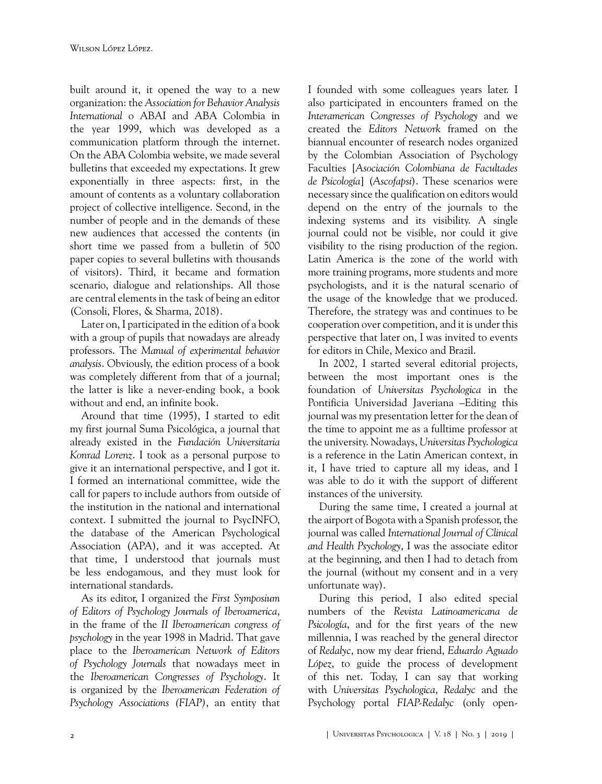built around it, it opened the way to a new organization: the *Association for Behavior Analysis International* o ABAI and ABA Colombia in the year 1999, which was developed as a communication platform through the internet. On the ABA Colombia website, we made several bulletins that exceeded my expectations. It grew exponentially in three aspects: first, in the amount of contents as a voluntary collaboration project of collective intelligence. Second, in the number of people and in the demands of these new audiences that accessed the contents (in short time we passed from a bulletin of 500 paper copies to several bulletins with thousands of visitors). Third, it became and formation scenario, dialogue and relationships. All those are central elements in the task of being an editor ([Consoli, Flores, & Sharma, 2018\)](#page-2-1).

Later on, I participated in the edition of a book with a group of pupils that nowadays are already professors. The *Manual of experimental behavior analysis*. Obviously, the edition process of a book was completely different from that of a journal; the latter is like a never-ending book, a book without and end, an infinite book.

Around that time (1995), I started to edit my first journal Suma Psicológica, a journal that already existed in the *Fundación Universitaria Konrad Lorenz*. I took as a personal purpose to give it an international perspective, and I got it. I formed an international committee, wide the call for papers to include authors from outside of the institution in the national and international context. I submitted the journal to PsycINFO, the database of the American Psychological Association (APA), and it was accepted. At that time, I understood that journals must be less endogamous, and they must look for international standards.

As its editor, I organized the *First Symposium of Editors of Psychology Journals of Iberoamerica*, in the frame of the *II Iberoamerican congress of psychology* in the year 1998 in Madrid. That gave place to the *Iberoamerican Network of Editors of Psychology Journals* that nowadays meet in the *Iberoamerican Congresses of Psychology*. It is organized by the *Iberoamerican Federation of Psychology Associations (FIAP)*, an entity that I founded with some colleagues years later. I also participated in encounters framed on the *Interamerican Congresses of Psychology* and we created the *Editors Network* framed on the biannual encounter of research nodes organized by the Colombian Association of Psychology Faculties [*Asociación Colombiana de Facultades de Psicología*] (*Ascofapsi*). These scenarios were necessary since the qualification on editors would depend on the entry of the journals to the indexing systems and its visibility. A single journal could not be visible, nor could it give visibility to the rising production of the region. Latin America is the zone of the world with more training programs, more students and more psychologists, and it is the natural scenario of the usage of the knowledge that we produced. Therefore, the strategy was and continues to be cooperation over competition, and it is under this perspective that later on, I was invited to events for editors in Chile, Mexico and Brazil.

In 2002, I started several editorial projects, between the most important ones is the foundation of *Universitas Psychologica* in the Pontificia Universidad Javeriana –Editing this journal was my presentation letter for the dean of the time to appoint me as a fulltime professor at the university. Nowadays, *Universitas Psychologica* is a reference in the Latin American context, in it, I have tried to capture all my ideas, and I was able to do it with the support of different instances of the university.

During the same time, I created a journal at the airport of Bogota with a Spanish professor, the journal was called *International Journal of Clinical and Health Psychology*, I was the associate editor at the beginning, and then I had to detach from the journal (without my consent and in a very unfortunate way).

During this period, I also edited special numbers of the *Revista Latinoamericana de Psicología*, and for the first years of the new millennia, I was reached by the general director of *Redalyc*, now my dear friend, *Eduardo Aguado López*, to guide the process of development of this net. Today, I can say that working with *Universitas Psychologica*, *Redalyc* and the Psychology portal *FIAP-Redalyc* (only open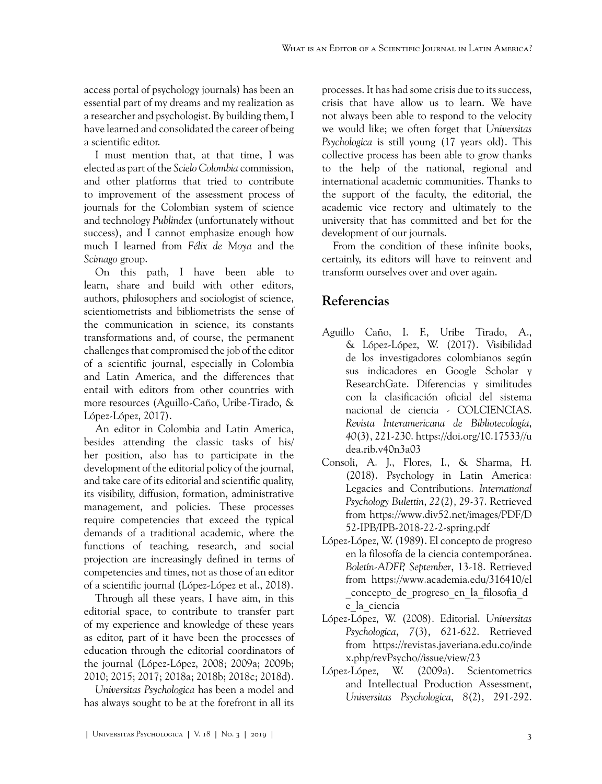access portal of psychology journals) has been an essential part of my dreams and my realization as a researcher and psychologist. By building them, I have learned and consolidated the career of being a scientific editor.

I must mention that, at that time, I was elected as part of the *Scielo Colombia* commission, and other platforms that tried to contribute to improvement of the assessment process of journals for the Colombian system of science and technology *Publindex* (unfortunately without success), and I cannot emphasize enough how much I learned from *Félix de Moya* and the *Scimago* group.

On this path, I have been able to learn, share and build with other editors, authors, philosophers and sociologist of science, scientiometrists and bibliometrists the sense of the communication in science, its constants transformations and, of course, the permanent challenges that compromised the job of the editor of a scientific journal, especially in Colombia and Latin America, and the differences that entail with editors from other countries with more resources ([Aguillo-Caño, Uribe-Tirado, &](#page-2-2) [López-López, 2017](#page-2-2)).

An editor in Colombia and Latin America, besides attending the classic tasks of his/ her position, also has to participate in the development of the editorial policy of the journal, and take care of its editorial and scientific quality, its visibility, diffusion, formation, administrative management, and policies. These processes require competencies that exceed the typical demands of a traditional academic, where the functions of teaching, research, and social projection are increasingly defined in terms of competencies and times, not as those of an editor of a scientific journal ([López-López et al., 2018](#page-3-0)).

Through all these years, I have aim, in this editorial space, to contribute to transfer part of my experience and knowledge of these years as editor, part of it have been the processes of education through the editorial coordinators of the journal [\(López-López, 2008;](#page-2-3) [2009a](#page-2-4); [2009b;](#page-3-1) [2010;](#page-3-2) [2015](#page-3-3); [2017](#page-3-4); [2018a](#page-3-5); [2018b;](#page-3-6) [2018c](#page-3-7); [2018d\)](#page-3-8).

*Universitas Psychologica* has been a model and has always sought to be at the forefront in all its processes. It has had some crisis due to its success, crisis that have allow us to learn. We have not always been able to respond to the velocity we would like; we often forget that *Universitas Psychologica* is still young (17 years old). This collective process has been able to grow thanks to the help of the national, regional and international academic communities. Thanks to the support of the faculty, the editorial, the academic vice rectory and ultimately to the university that has committed and bet for the development of our journals.

From the condition of these infinite books, certainly, its editors will have to reinvent and transform ourselves over and over again.

## **Referencias**

- <span id="page-2-2"></span>Aguillo Caño, I. F., Uribe Tirado, A., & López-López, W. (2017). Visibilidad de los investigadores colombianos según sus indicadores en Google Scholar y ResearchGate. Diferencias y similitudes con la clasificación oficial del sistema nacional de ciencia - COLCIENCIAS. *Revista Interamericana de Bibliotecología*, *40*(3), 221-230. [https://doi.org/10.17533//u](https://doi.org/10.17533//udea.rib.v40n3a03) [dea.rib.v40n3a03](https://doi.org/10.17533//udea.rib.v40n3a03)
- <span id="page-2-1"></span>Consoli, A. J., Flores, I., & Sharma, H. (2018). Psychology in Latin America: Legacies and Contributions. *International Psychology Bulettin*, *22*(2), 29-37. Retrieved from [https://www.div52.net/images/PDF/D](https://www.div52.net/images/PDF/D52-IPB/IPB-2018-22-2-spring.pdf) [52-IPB/IPB-2018-22-2-spring.pdf](https://www.div52.net/images/PDF/D52-IPB/IPB-2018-22-2-spring.pdf)
- <span id="page-2-0"></span>López-López, W. (1989). El concepto de progreso en la filosofía de la ciencia contemporánea. *Boletín-ADFP, September*, 13-18. Retrieved from [https://www.academia.edu/316410/el](https://www.academia.edu/316410/el_concepto_de_progreso_en_la_filosofia_de_la_ciencia) [\\_concepto\\_de\\_progreso\\_en\\_la\\_filosofia\\_d](https://www.academia.edu/316410/el_concepto_de_progreso_en_la_filosofia_de_la_ciencia) [e\\_la\\_ciencia](https://www.academia.edu/316410/el_concepto_de_progreso_en_la_filosofia_de_la_ciencia)
- <span id="page-2-3"></span>López-López, W. (2008). Editorial. *Universitas Psychologica*, *7*(3), 621-622. Retrieved from [https://revistas.javeriana.edu.co/inde](https://revistas.javeriana.edu.co/index.php/revPsycho//issue/view/23) [x.php/revPsycho//issue/view/23](https://revistas.javeriana.edu.co/index.php/revPsycho//issue/view/23)
- <span id="page-2-4"></span>López-López, W. (2009a). Scientometrics and Intellectual Production Assessment, *Universitas Psychologica*, *8*(2), 291-292.